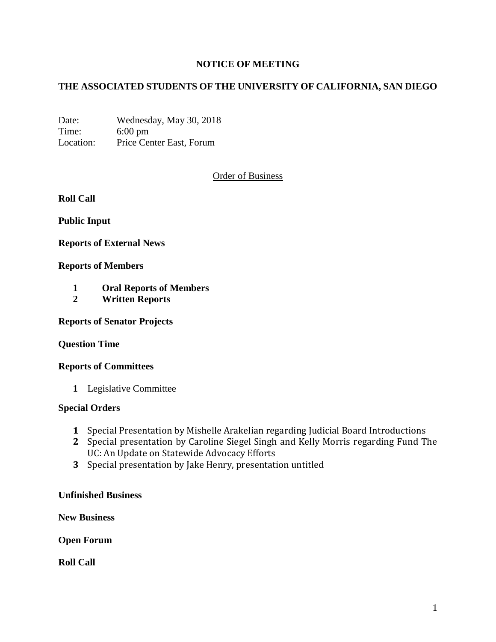# **NOTICE OF MEETING**

# **THE ASSOCIATED STUDENTS OF THE UNIVERSITY OF CALIFORNIA, SAN DIEGO**

Date: Wednesday, May 30, 2018 Time: 6:00 pm Location: Price Center East, Forum

### Order of Business

**Roll Call**

**Public Input**

**Reports of External News**

#### **Reports of Members**

- **1 Oral Reports of Members**
- **2 Written Reports**

**Reports of Senator Projects**

#### **Question Time**

#### **Reports of Committees**

**1** Legislative Committee

#### **Special Orders**

- **1** Special Presentation by Mishelle Arakelian regarding Judicial Board Introductions
- **2** Special presentation by Caroline Siegel Singh and Kelly Morris regarding Fund The UC: An Update on Statewide Advocacy Efforts
- **3** Special presentation by Jake Henry, presentation untitled

#### **Unfinished Business**

**New Business**

**Open Forum**

**Roll Call**